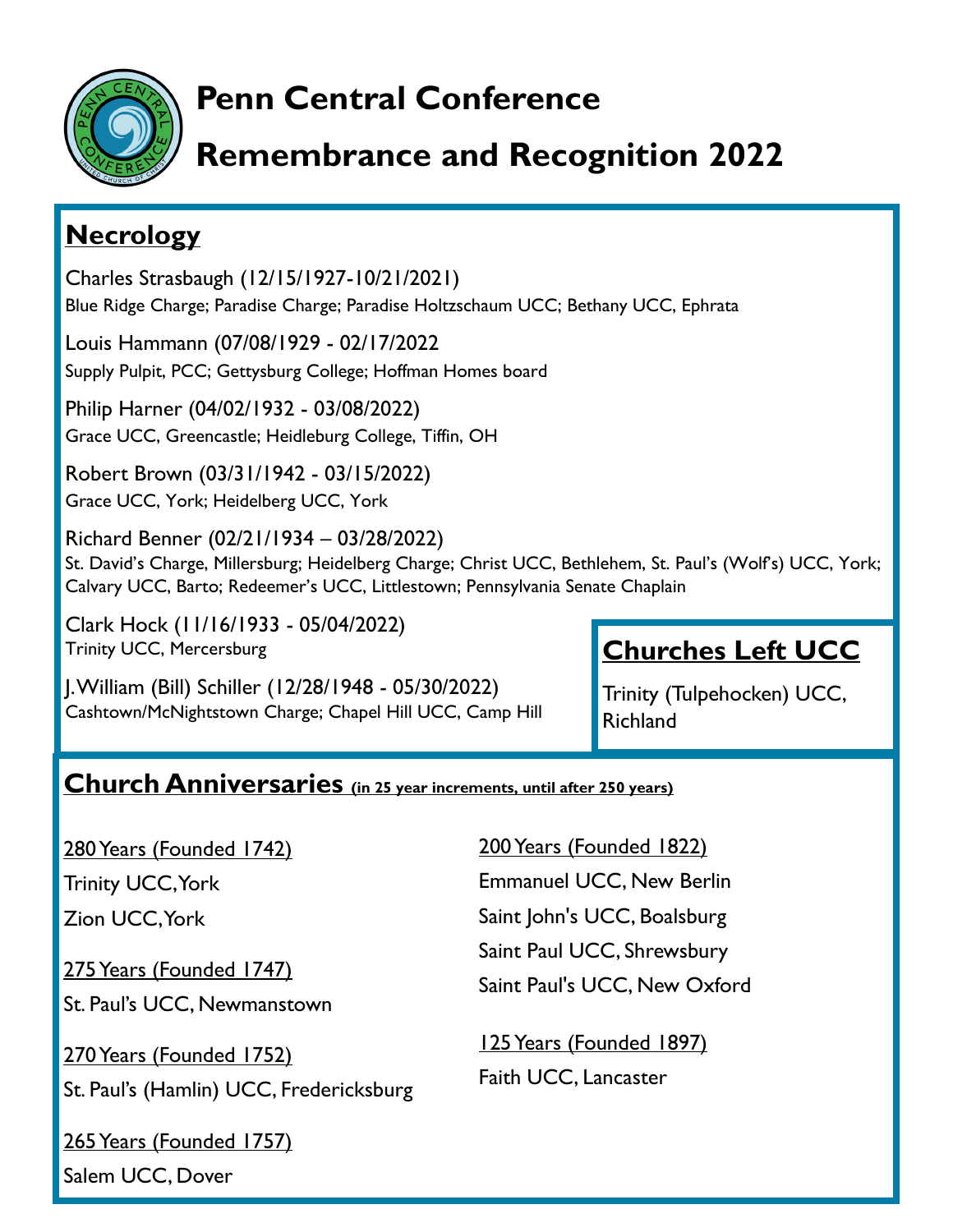

# **Penn Central Conference**

# **Remembrance and Recognition 2022**

#### **Necrology**

Charles Strasbaugh (12/15/1927-10/21/2021) Blue Ridge Charge; Paradise Charge; Paradise Holtzschaum UCC; Bethany UCC, Ephrata

Louis Hammann (07/08/1929 - 02/17/2022 Supply Pulpit, PCC; Gettysburg College; Hoffman Homes board

Philip Harner (04/02/1932 - 03/08/2022) Grace UCC, Greencastle; Heidleburg College, Tiffin, OH

Robert Brown (03/31/1942 - 03/15/2022) Grace UCC, York; Heidelberg UCC, York

Richard Benner (02/21/1934 – 03/28/2022) St. David's Charge, Millersburg; Heidelberg Charge; Christ UCC, Bethlehem, St. Paul's (Wolf's) UCC, York; Calvary UCC, Barto; Redeemer's UCC, Littlestown; Pennsylvania Senate Chaplain

Clark Hock (11/16/1933 - 05/04/2022) Trinity UCC, Mercersburg

J. William (Bill) Schiller (12/28/1948 - 05/30/2022) Cashtown/McNightstown Charge; Chapel Hill UCC, Camp Hill

## **Churches Left UCC**

Trinity (Tulpehocken) UCC, Richland

#### **Church Anniversaries (in 25 year increments, until after 250 years)**

280 Years (Founded 1742)

Trinity UCC, York

Zion UCC, York

275 Years (Founded 1747)

St. Paul's UCC, Newmanstown

270 Years (Founded 1752) St. Paul's (Hamlin) UCC, Fredericksburg

265 Years (Founded 1757) Salem UCC, Dover

200 Years (Founded 1822) Emmanuel UCC, New Berlin Saint John's UCC, Boalsburg Saint Paul UCC, Shrewsbury Saint Paul's UCC, New Oxford

125 Years (Founded 1897) Faith UCC, Lancaster